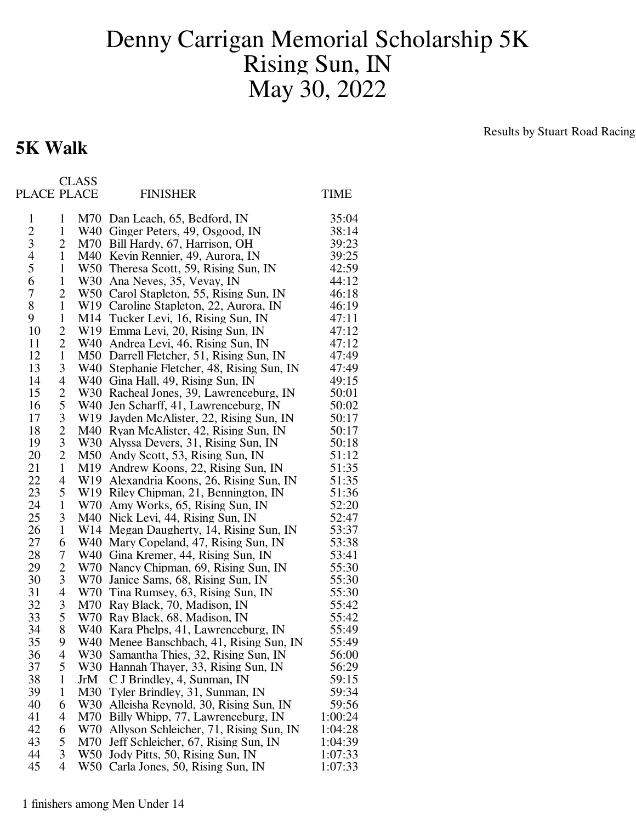## Denny Carrigan Memorial Scholarship 5K Rising Sun, IN May 30, 2022

## **5K Walk**

Results by Stuart Road Racing

|                |                          | <b>CLASS</b> |                                                      |             |
|----------------|--------------------------|--------------|------------------------------------------------------|-------------|
| PLACE PLACE    |                          |              | <b>FINISHER</b>                                      | <b>TIME</b> |
| $\mathbf{1}$   | $\mathbf{1}$             |              | M70 Dan Leach, 65, Bedford, IN                       | 35:04       |
|                | $\mathbf{1}$             |              | W40 Ginger Peters, 49, Osgood, IN                    | 38:14       |
| $\frac{2}{3}$  | 2                        |              | M70 Bill Hardy, 67, Harrison, OH                     | 39:23       |
| $\overline{4}$ | $\mathbf{1}$             |              | M40 Kevin Rennier, 49, Aurora, IN                    | 39:25       |
| 5              | $\mathbf{1}$             |              | W50 Theresa Scott, 59, Rising Sun, IN                | 42:59       |
| 6              | $\mathbf{1}$             |              | W30 Ana Neves, 35, Vevay, IN                         | 44:12       |
| 7              | $\overline{c}$           |              | W50 Carol Stapleton, 55, Rising Sun, IN              | 46:18       |
| 8              | $\mathbf{1}$             |              | W19 Caroline Stapleton, 22, Aurora, IN               | 46:19       |
| 9              | $\mathbf{1}$             |              | M14 Tucker Levi, 16, Rising Sun, IN                  | 47:11       |
| 10             | $\overline{c}$           |              | W19 Emma Levi, 20, Rising Sun, IN                    | 47:12       |
| 11             | $\overline{c}$           |              | W40 Andrea Levi, 46, Rising Sun, IN                  | 47:12       |
| 12             | $\mathbf{1}$             |              | M50 Darrell Fletcher, 51, Rising Sun, IN             | 47:49       |
| 13             | 3                        |              | W40 Stephanie Fletcher, 48, Rising Sun, IN           | 47:49       |
| 14             | 4                        |              | W40 Gina Hall, 49, Rising Sun, IN                    | 49:15       |
| 15             |                          |              | W30 Racheal Jones, 39, Lawrenceburg, IN              | 50:01       |
| 16             | $rac{2}{5}$              |              | W40 Jen Scharff, 41, Lawrenceburg, IN                | 50:02       |
| 17             |                          |              | W <sub>19</sub> Jayden McAlister, 22, Rising Sun, IN | 50:17       |
| 18             | $\frac{3}{2}$            |              | M40 Ryan McAlister, 42, Rising Sun, IN               | 50:17       |
| 19             |                          |              | W30 Alyssa Devers, 31, Rising Sun, IN                | 50:18       |
| 20             | $\overline{c}$           |              | M50 Andy Scott, 53, Rising Sun, IN                   | 51:12       |
| 21             | $\mathbf{1}$             |              | M19 Andrew Koons, 22, Rising Sun, IN                 | 51:35       |
| 22             | 4                        |              | W19 Alexandria Koons, 26, Rising Sun, IN             | 51:35       |
| 23             | 5                        |              | W19 Riley Chipman, 21, Bennington, IN                | 51:36       |
| 24             | $\mathbf{1}$             |              | W70 Amy Works, 65, Rising Sun, IN                    | 52:20       |
| 25             | 3                        |              | M40 Nick Levi, 44, Rising Sun, IN                    | 52:47       |
| 26             | $\mathbf{1}$             |              | W14 Megan Daugherty, 14, Rising Sun, IN              | 53:37       |
| 27             | 6                        |              | W40 Mary Copeland, 47, Rising Sun, IN                | 53:38       |
| 28             | 7                        |              | W40 Gina Kremer, 44, Rising Sun, IN                  | 53:41       |
| 29             | $\overline{c}$           |              | W70 Nancy Chipman, 69, Rising Sun, IN                | 55:30       |
| 30             | 3                        |              | W70 Janice Sams, 68, Rising Sun, IN                  | 55:30       |
| 31             | $\overline{\mathcal{A}}$ |              | W70 Tina Rumsey, 63, Rising Sun, IN                  | 55:30       |
| 32             | 3                        |              | M70 Ray Black, 70, Madison, IN                       | 55:42       |
| 33             | 5                        |              | W70 Ray Black, 68, Madison, IN                       | 55:42       |
| 34             | 8                        |              | W40 Kara Phelps, 41, Lawrenceburg, IN                | 55:49       |
| 35             | 9                        |              | W40 Menee Banschbach, 41, Rising Sun, IN             | 55:49       |
| 36             | 4                        | W30          | Samantha Thies, 32, Rising Sun, IN                   | 56:00       |
| 37             | 5                        | W30          | Hannah Thayer, 33, Rising Sun, IN                    | 56:29       |
| 38             | $\mathbf{1}$             | JrM          | C J Brindley, 4, Sunman, IN                          | 59:15       |
| 39             | $\mathbf{1}$             | M30          | Tyler Brindley, 31, Sunman, IN                       | 59:34       |
| 40             | 6                        | W30          | Alleisha Reynold, 30, Rising Sun, IN                 | 59:56       |
| 41             | 4                        | M70          | Billy Whipp, 77, Lawrenceburg, IN                    | 1:00:24     |
| 42             | 6                        | W70          | Allyson Schleicher, 71, Rising Sun, IN               | 1:04:28     |
| 43             | 5                        | M70          | Jeff Schleicher, 67, Rising Sun, IN                  | 1:04:39     |
| 44             | 3                        | W50          | Jody Pitts, 50, Rising Sun, IN                       | 1:07:33     |
| 45             | $\overline{4}$           | W50          | Carla Jones, 50, Rising Sun, IN                      | 1:07:33     |